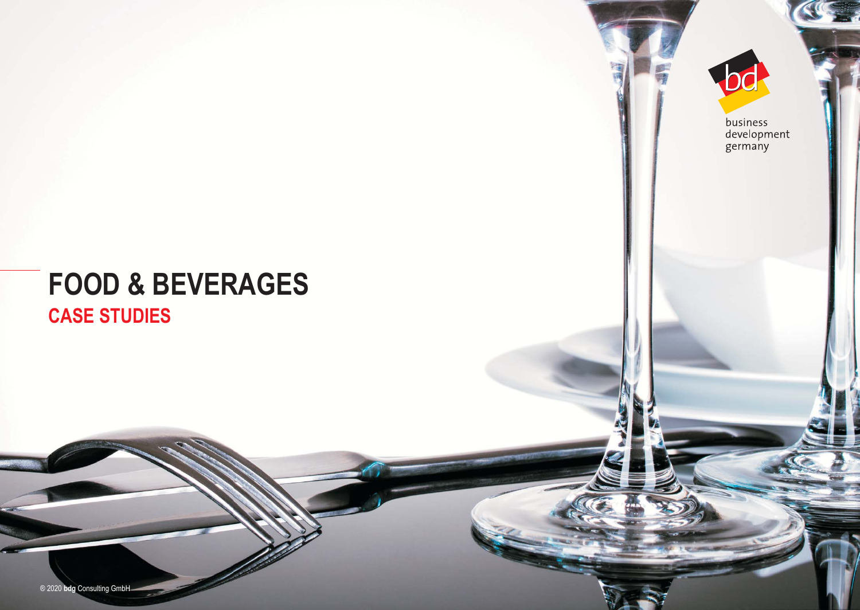# **FOOD & BEVERAGES CASE STUDIES**

business<br>development<br>germany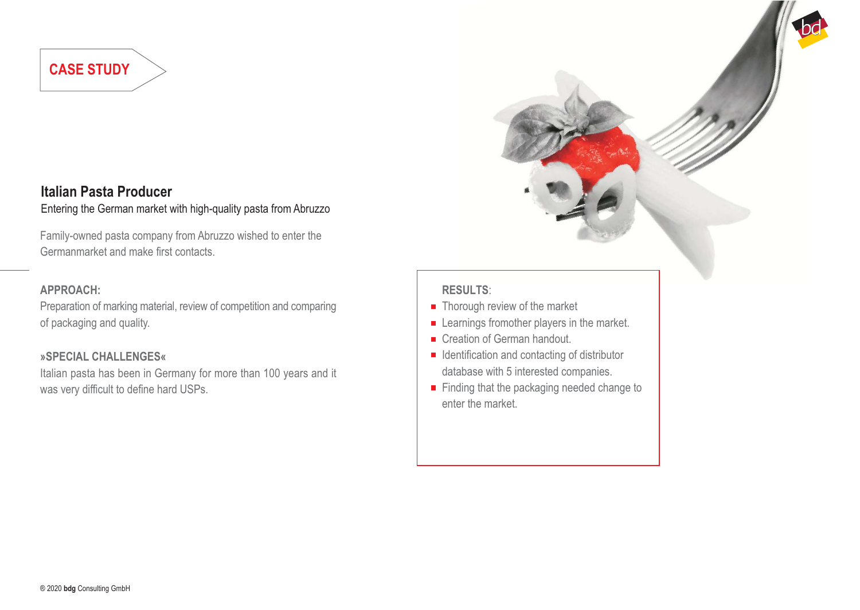## **Italian Pasta Producer**

## Entering the German market with high-quality pasta from Abruzzo

Family-owned pasta company from Abruzzo wished to enter the Germanmarket and make first contacts.

#### **APPROACH:**

Preparation of marking material, review of competition and comparing of packaging and quality.

#### **»SPECIAL CHALLENGES«**

Italian pasta has been in Germany for more than 100 years and it was very difficult to define hard USPs.

- $\blacksquare$  Thorough review of the market
- **EXECUTE:** Learnings fromother players in the market.
- Creation of German handout.
- $\blacksquare$  Identification and contacting of distributor database with 5 interested companies.
- Finding that the packaging needed change to enter the market.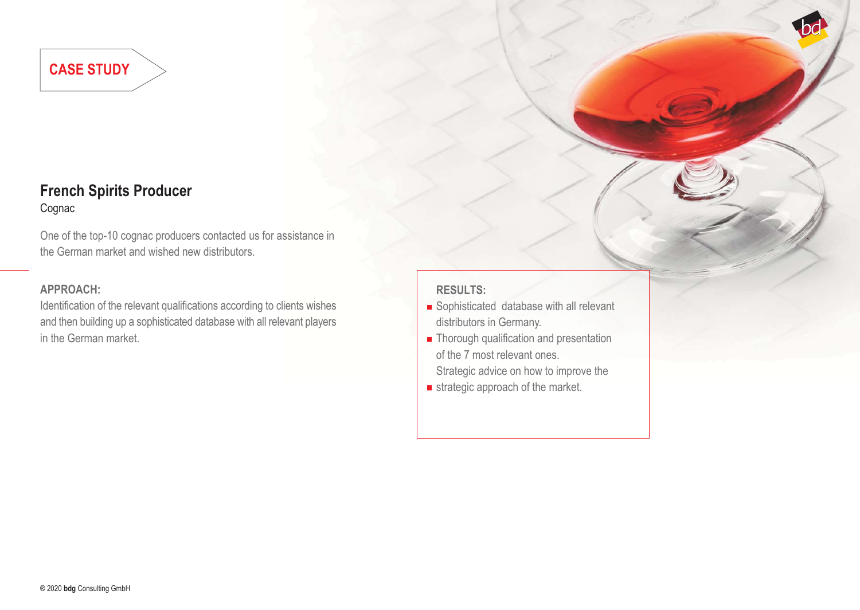### **French Spirits Producer** Cognac

One of the top-10 cognac producers contacted us for assistance in the German market and wished new distributors.

#### **APPROACH:**

Identification of the relevant qualifications according to clients wishes and then building up a sophisticated database with all relevant players in the German market.

- Sophisticated database with all relevant distributors in Germany.
- **Thorough qualification and presentation** of the 7 most relevant ones. Strategic advice on how to improve the
- $\blacksquare$  strategic approach of the market.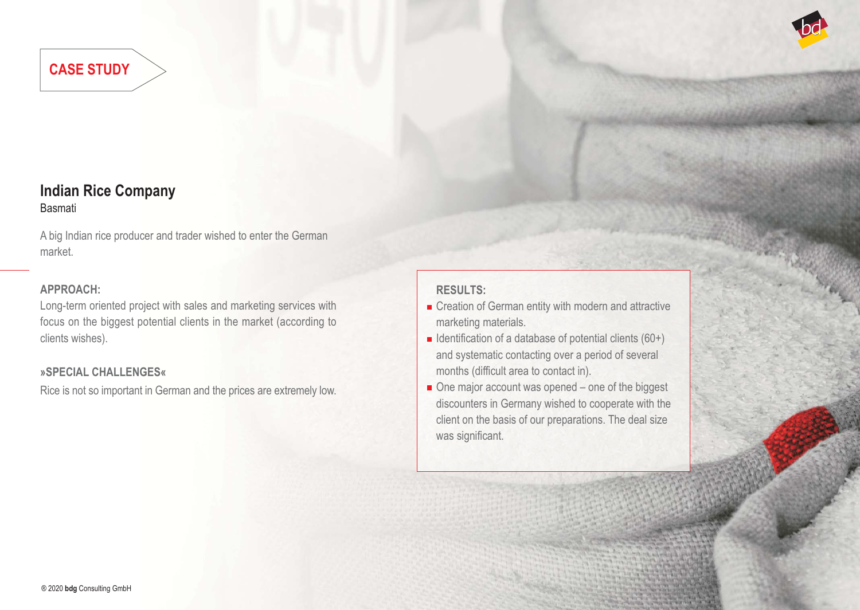

## **Indian Rice Company** Basmati

A big Indian rice producer and trader wished to enter the German market.

#### **APPROACH:**

Long-term oriented project with sales and marketing services with focus on the biggest potential clients in the market (according to clients wishes).

#### **»SPECIAL CHALLENGES«**

Rice is not so important in German and the prices are extremely low.

- Creation of German entity with modern and attractive marketing materials.
- Identification of a database of potential clients  $(60+)$ and systematic contacting over a period of several months (difficult area to contact in).
- One major account was opened one of the biggest discounters in Germany wished to cooperate with the client on the basis of our preparations. The deal size was significant.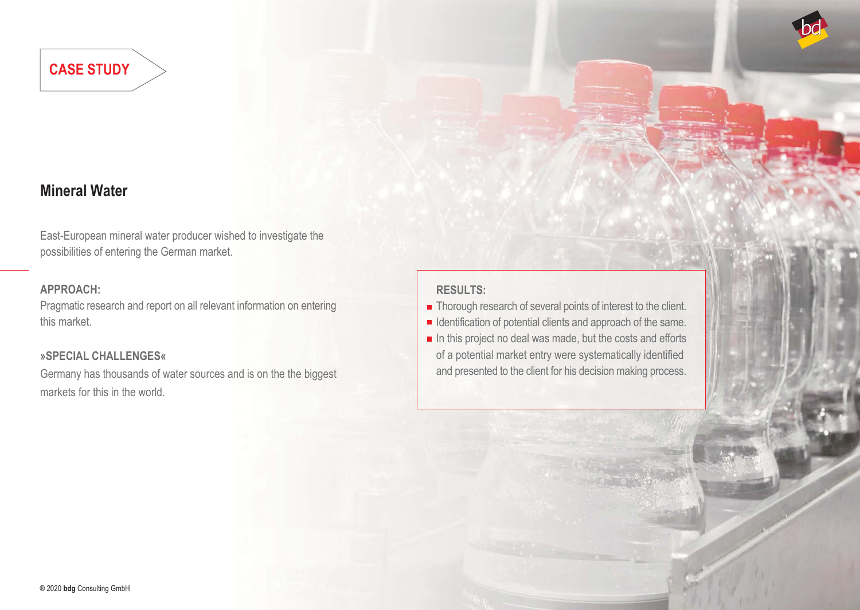## **Mineral Water**

East-European mineral water producer wished to investigate the possibilities of entering the German market.

#### **APPROACH:**

Pragmatic research and report on all relevant information on entering this market.

#### **»SPECIAL CHALLENGES«**

Germany has thousands of water sources and is on the the biggest markets for this in the world.

- **Thorough research of several points of interest to the client.**
- $\blacksquare$  Identification of potential clients and approach of the same.  $\blacksquare$  In this project no deal was made, but the costs and efforts
	- of a potential market entry were systematically identified and presented to the client for his decision making process.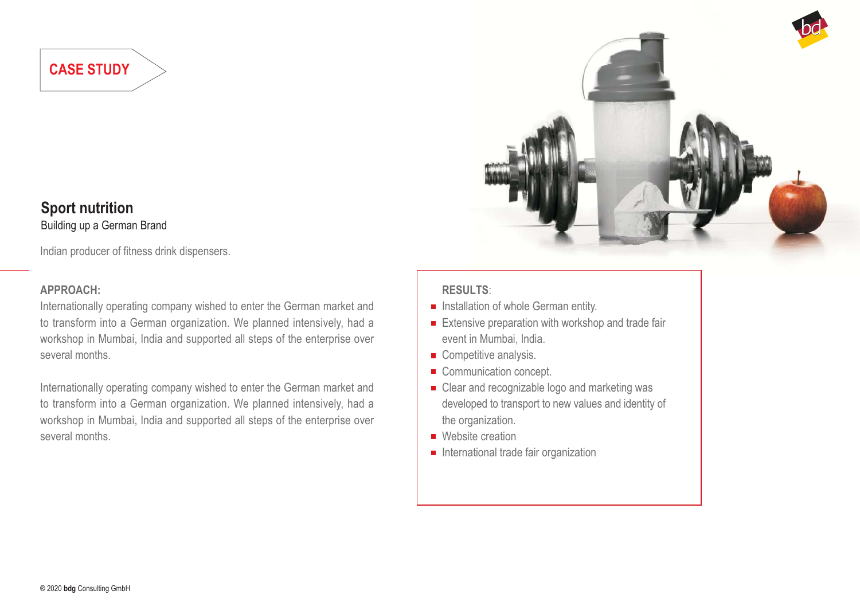#### **Sport nutrition** Building up a German Brand

Indian producer of fitness drink dispensers.

#### **APPROACH:**

Internationally operating company wished to enter the German market and to transform into a German organization. We planned intensively, had a workshop in Mumbai, India and supported all steps of the enterprise over several months.

Internationally operating company wished to enter the German market and to transform into a German organization. We planned intensively, had a workshop in Mumbai, India and supported all steps of the enterprise over several months.



- $\blacksquare$  Installation of whole German entity.
- $\blacksquare$  Extensive preparation with workshop and trade fair event in Mumbai, India.
- Competitive analysis.
- Communication concept.
- Clear and recognizable logo and marketing was developed to transport to new values and identity of the organization.
- Website creation
- $\blacksquare$  International trade fair organization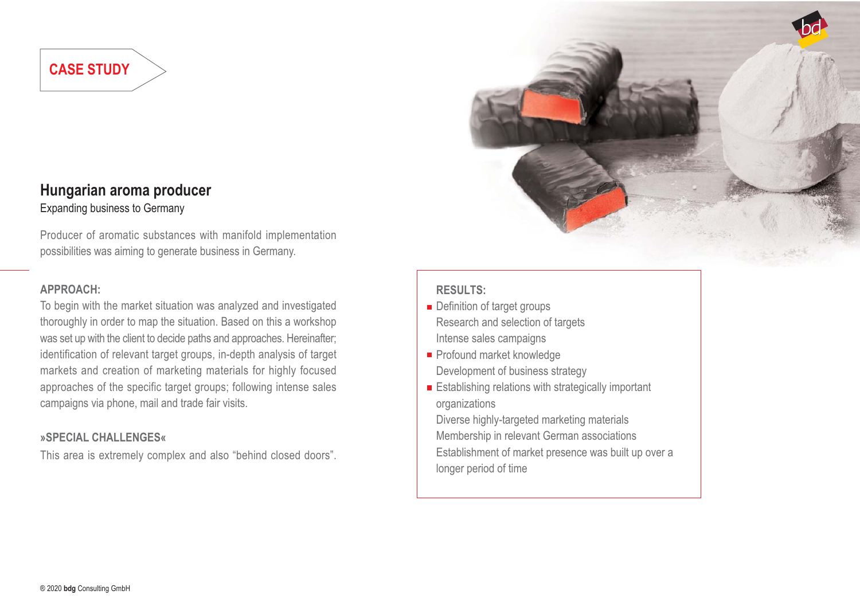#### **Hungarian aroma producer** Expanding business to Germany

Producer of aromatic substances with manifold implementation possibilities was aiming to generate business in Germany.

#### **APPROACH:**

To begin with the market situation was analyzed and investigated thoroughly in order to map the situation. Based on this a workshop was set up with the client to decide paths and approaches. Hereinafter; identification of relevant target groups, in-depth analysis of target markets and creation of marketing materials for highly focused approaches of the specific target groups; following intense sales campaigns via phone, mail and trade fair visits.

#### **»SPECIAL CHALLENGES«**

This area is extremely complex and also "behind closed doors".



#### **RESULTS:**

- **Definition of target groups** Research and selection of targets Intense sales campaigns
- Profound market knowledge
- Development of business strategy
- **Establishing relations with strategically important** organizations

Diverse highly-targeted marketing materials Membership in relevant German associations Establishment of market presence was built up over a longer period of time